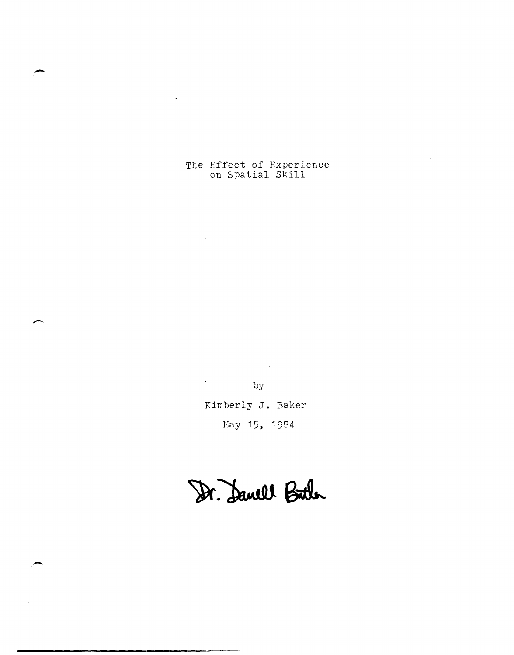The Effect of Fxperience on Spatial Skill

 $\ddot{\phantom{a}}$ 

-

.-

by

 $\sigma_{\rm{max}}$ 

 $\mathcal{L}^{\text{max}}_{\text{max}}$ 

 $\sim 10^6$ 

Kimberly J. Baker Kay 15, 1984

Dr. Danell Bitter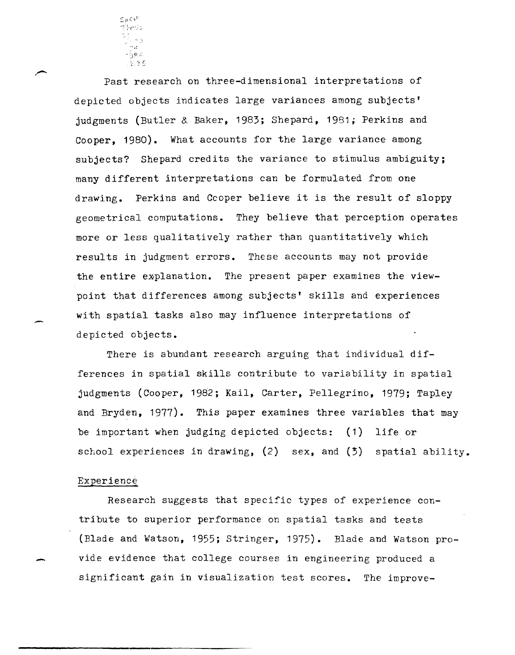

Past research on three-dimensional interpretations of depicted objects indicates large variances among subjects' judgments (Butler & Baker, 1983; Shepard, 1981; Perkins and Cooper, 1980). What accounts for the large variance among subjects? Shepard credits the variance to stimulus ambiguity; many different interpretations can be formulated from one drawing. Perkins and Ccoper believe it is the result of sloppy geometrical computations. They believe that perception operates more or less qualitatively rather than quantitatively which results in judgment errors. These accounts may not provide the entire explanation. The present paper examines the viewpoint that differences among subjects' skills and experiences with spatial tasks also may influence interpretations of depicted objects.

There is abundant research arguing that individual differences in spatial skills contribute to variability in spatial judgments (Cooper, 1992; Kail, Carter, Pellegrino, 1979; Tapley and Bryden, 1977). This paper examines three variables that may be important when judging depicted objects: (1) life or school experiences in drawing, (2) sex, and (3) spatial ability.

# Experience

-

Research suggests that specific types of experience contribute to superior performance on spatial tasks and tests (Blade and Watson, 1955; Stringer, 1975). Blade and Watson pro vide evidence that college courses in engineering produced a significant gain in visualization test scores. The improve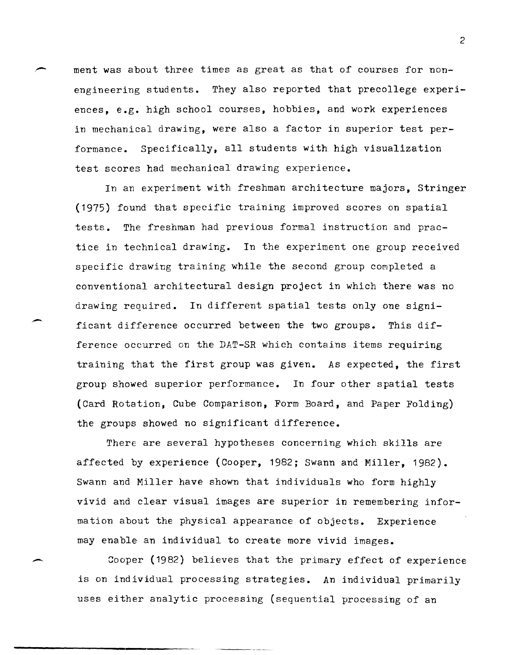ment was about three times as great as that of courses for nonengineering students. They also reported that precollege experiences, e.g. high school courses, hobbies, and work experiences in mechanical drawing, were also a factor in superior test performance. Specifically, all students with high visualization test scores had mechanical drawing experience.

In an experiment with freshman architecture majors, Stringer (1975) found that specific training improved scores on spatial tests. The freshman had previous formal instruction and practice in technical drawing. In the experiment one group received specific drawing training while the second group completed a conventional architectural design project in which there was no drawing required. In different spatial tests only one significant difference occurred between the two groups. This difference occurred on the DAT-SR which contains items requiring training that the first group was given. As expected, the first group showed superior performance. In four other spatial tests (Card Rotation, Cube Comparison, Form Board, and Paper Folding) the groups showed no significant difference.

There are several hypotheses concerning which skills are affected by experience (Cooper, 1982; Swann and Miller, 1982). Swann and Miller have shown that individuals who form highly vivid and clear visual images are superior in remembering information about the physical appearance of objects. Experience may enable an individual to create more vivid images.

Cooper (1982) believes that the primary effect of experience is on individual processing strategies. An individual primarily uses either analytic processing (sequential processing of an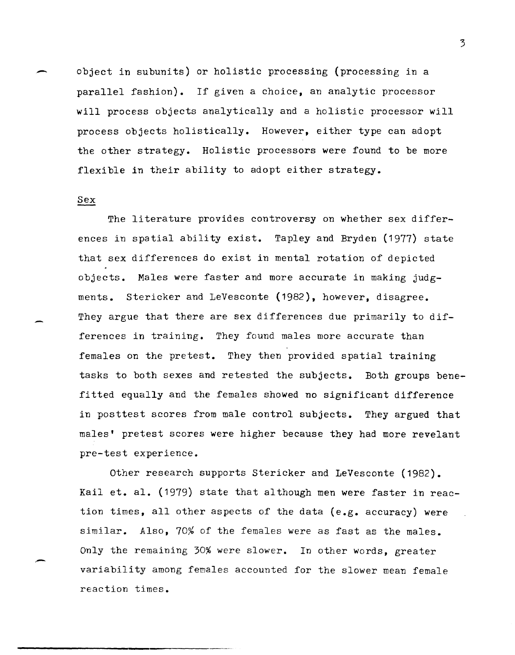~ object in subunits) or holistic processing (processing in a parallel fashion). If given a choice, an analytic processor will process objects analytically and a holistic processor will process objects holistically. However, either type can adopt the other strategy. Holistic processors were found to be more flexible in their ability to adopt either strategy.

## Sex

The literature provides controversy on whether sex differences in spatial ability exist. Tapley and Bryden (1977) state that sex differences do exist in mental rotation of depicted objects. Males were faster and more accurate in making judgments. Stericker and LeVesconte (1982), however, disagree. They argue that there are sex differences due primarily to differences in training. They found males more accurate than females on the pretest. They then provided spatial training tasks to both sexes and retested the subjects. Both groups benefitted equally and the females showed no significant difference in posttest scores from male control subjects. They argued that males' pretest scores were higher because they had more revelant pre-test experience.

Other research supports Stericker and LeVesconte (1982). Kail et. al. (1979) state that although men were faster in reaction times, all other aspects of the data (e.g. accuracy) were similar. Also, 70% of the females were as fast as the males. Only the remaining 30% were slower. In other words, greater variability among females accounted for the slower mean female reaction times.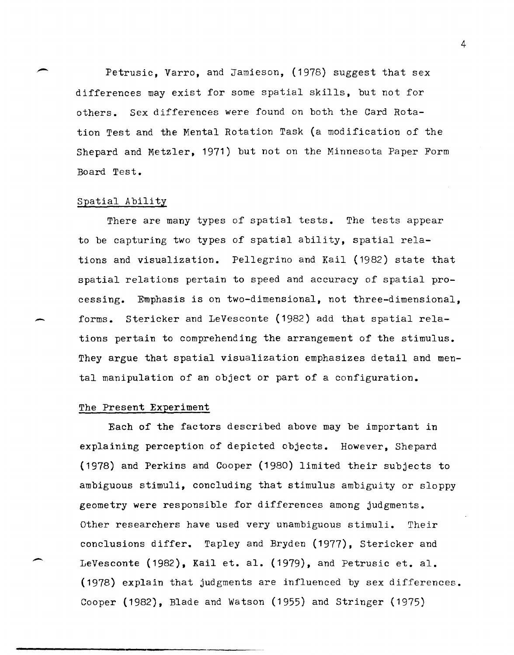Petrusic, Varro, and Jamieson,  $(1978)$  suggest that sex differences may exist for some spatial skills, but not for others. Sex differences were found on both the Card Rotation Test and the Mental Rotation Task (a modification of the Shepard and Metzler, 1971) but not on the Minnesota Paper Form Board Test.

# Spatial Ability

There are many types of spatial tests. The tests appear to be capturing two types of spatial ability, spatial relations and visualization. Pellegrino and Kail (1982) state that spatial relations pertain to speed and accuracy of spatial processing. Emphasis is on two-dimensional, not three-dimensional, forms. Stericker and LeVesconte (1982) add that spatial relations pertain to comprehending the arrangement of the stimulus. They argue that spatial visualization emphasizes detail and mental manipulation of an object or part of a configuration.

# The Present Experiment

--

Each of the factors described above may be important in explaining perception of depicted objects. However, Shepard (1978) and Perkins and Cooper (1980) limited their subjects to ambiguous stimuli, concluding that stimulus ambiguity or sloppy geometry were responsible for differences among judgments. Other researchers have used very unambiguous stimuli. Their conclusions differ. Tapley and Bryden (1977), Stericker and LeVesconte  $(1982)$ , Kail et. al.  $(1979)$ , and Petrusic et. al. (1978) explain that judgments are influenced by sex differences. Cooper (1982), Blade and Watson (1955) and Stringer (1975)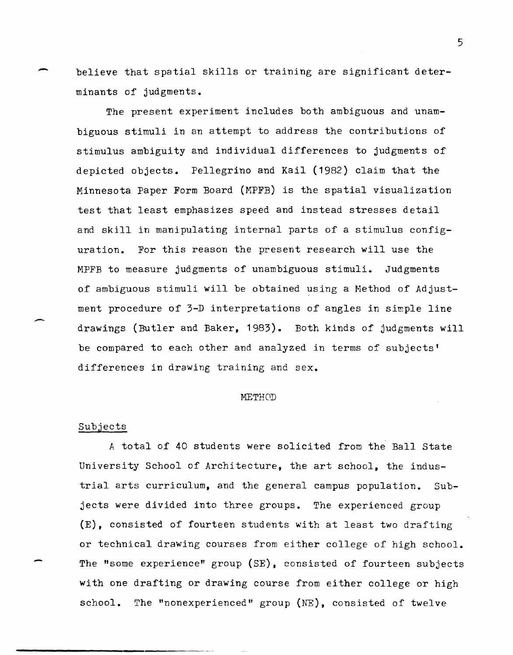believe that spatial skills or training are significant determinants of judgments.

The present experiment includes both ambiguous and unambiguous stimuli in an attempt to address the contributions of stimulus ambiguity and individual differences to judgments of depicted objects. Pellegrino and Kail (1982) claim that the Minnesota Paper Form Board (MPFB) is the spatial visualization test that least emphasizes speed and instead stresses detail and skill in manipulating internal parts of a stimulus configuration. For this reason the present research will use the MPFB to measure judgments of unambiguous stimuli. Judgments of ambiguous stimuli will be obtained using a Method of Adjustment procedure of 3-D interpretations of angles in simple line drawings (Butler and Baker, 1983). Both kinds of judgments will be compared to each other and analyzed in terms of subjects' differences in drawing training and sex.

#### METHOD

### Subjects

-

--

-

A total of 40 students were solicited from the Ball State University School of Architecture, the art school, the industrial arts curriculum, and the general campus population. Subjects were divided into three groups. The experienced group (E), consisted of fourteen students with at least two drafting or technical drawing courses from either college of high school. The "some experience" group (SE), consisted of fourteen subjects with one drafting or drawing course from either college or high school. The "nonexperienced" group  $(NE)$ , consisted of twelve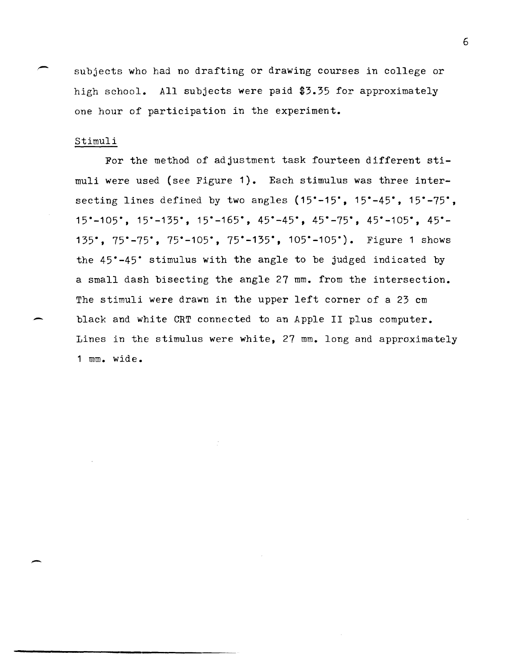subjects who had no drafting or drawing courses in college or high school. All subjects were paid \$3.35 for approximately one hour of participation in the experiment.

## Stimuli

-

For the method of adjustment task fourteen different stimuli were used (see Figure 1). Each stimulus was three intersecting lines defined by two angles (15<sup>\*-15</sup><sup>\*</sup>, 15<sup>\*</sup>-45<sup>\*</sup>, 15<sup>\*</sup>-75<sup>\*</sup>, 15--105-, 15--135-, 15--165-, 45--45-, 45--75-, 45--105-, 45-- 135°, 75°-75°, 75°-105°, 75°-135°, 105°-105°). Figure 1 shows the 45<sup>\*</sup>-45<sup>\*</sup> stimulus with the angle to be judged indicated by a small dash bisecting the angle 27 mm. from the intersection. The stimuli were drawn in the upper left corner of a 23 cm black and white CRT connected to an Apple II plus computer. Lines in the stimulus were white, 27 mm. long and approximately 1 mm\_ wide\_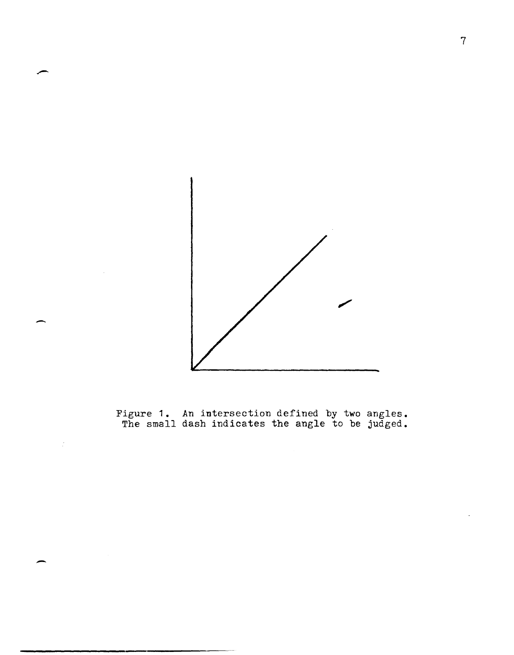

Figure **1.** An intersection defined by two angles. The small dash indicates the angle to be judged.

 $\mathbb{I}$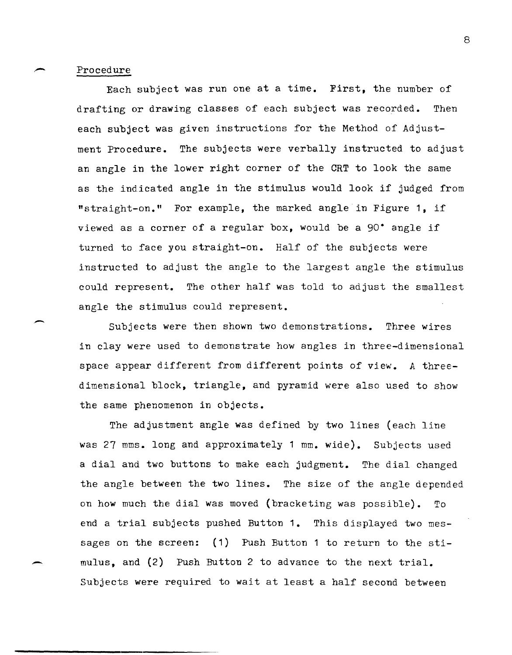## Procedure

~

Each subject was run one at a time. First, the number of drafting or drawing classes of each subject was recorded. Then each subject was given instructions for the Method of Adjustment Procedure. The subjects were verbally instructed to adjust an angle in the lower right corner of the CRT to look the same as the indicated angle in the stimulus would look if judged from "straight-on." For example, the marked angle in Figure **1,** if viewed as a corner of a regular box, would be a 90· angle if turned to face you straight-on. Half of the subjects were instructed to adjust the angle to the largest angle the stimulus could represent. The other half was told to adjust the smallest angle the stimulus could represent.

Subjects were then shown two demonstrations. Three wires in clay were used to demonstrate how angles in three-dimensional space appear different from different points of view. A threedimensional block, triangle, and pyramid were also used to show the same phenomenon in objects.

The adjustment angle was defined by two lines (each line was 27 mms. long and approximately 1 mm. wide). Subjects used a dial and two buttons to make each judgment. The dial changed the angle between the two lines. The size of the angle depended on how much the dial was moved (bracketing was possible). To end a trial subjects pushed Button **1.** This displayed two messages on the screen: (1) Push Button 1 to return to the sti mulus, and (2) Push Button 2 to advance to the next trial. Subjects were required to wait at least a half second between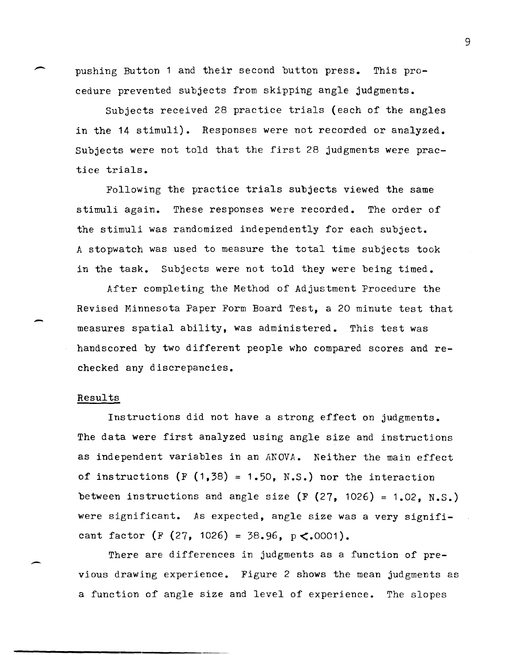pushing Button 1 and their second button press. This procedure prevented subjects from skipping angle judgments.

Subjects received 28 practice trials (each of the angles in the 14 stimuli). Responses were not recorded or analyzed. Subjects were not told that the first 28 judgments were practice trials.

Following the practice trials subjects viewed the same stimuli again. These responses were recorded. The order of the stimuli was randomized independently for each subject. A stopwatch was used to measure the total time subjects took in the task. Subjects were not told they were being timed.

After completing the Method of Adjustment Procedure the Revised Minnesota Paper Form Board Test, a 20 minute test that measures spatial ability, was administered. This test was handscored by two different people who compared scores and rechecked any discrepancies.

### Results

-

-

Instructions did not have a strong effect on judgments. The data were first analyzed using angle size and instructions as independent variables in an *ANOVA.* Neither the main effect of instructions  $(F(1,38) = 1.50, N.S.)$  nor the interaction between instructions and angle size  $(F (27, 1026) = 1.02, N.S.)$ were significant. As expected, angle size was a very significant factor (F (27, 1026) = 38.96,  $p \le 0001$ ).

There are differences in judgments as a function of previous drawing experience. Figure 2 shows the mean judgments as a function of angle size and level of experience. The slopes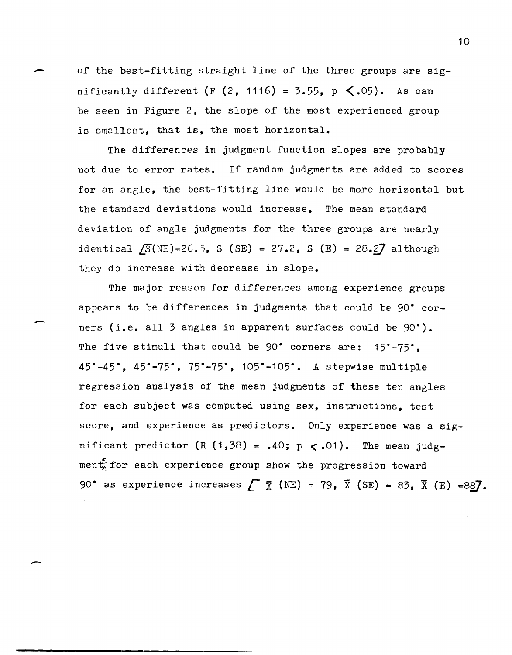of the best-fitting straight line of the three groups are significantly different  $(F (2, 1116) = 3.55, p \le .05)$ . As can be seen in Figure 2, the slope of the most experienced group is smallest, that is, the most horizontal.

The differences in judgment function slopes are probably not due to error rates. If random judgments are added to scores for an angle, the best-fitting line would be more horizontal but the standard deviations would increase. The mean standard deviation of angle judgments for the three groups are nearly identical  $\sqrt{S}(NE) = 26.5$ , S (SE) = 27.2, S (E) = 28.27 although they do increase with decrease in slope.

The major reason for differences among experience groups appears to be differences in judgments that could be 90· corners (i.e. all 3 angles in apparent surfaces could be 90·). The five stimuli that could be 90° corners are: 15°-75°, 4S·-4S·, 4S·-7S·, 7S·-7S·, 10S·-10S·. A stepwise multiple regression analysis of the mean judgments of these ten angles for each subject was computed using sex, instructions, test score, and experience as predictors. Only experience was a significant predictor (R  $(1,38) = .40$ ; p  $\lt$ .01). The mean judgment for each experience group show the progression toward 90° as experience increases  $\Gamma \bar{x}$  (NE) = 79,  $\bar{x}$  (SE) = 83,  $\bar{x}$  (E) =887.

-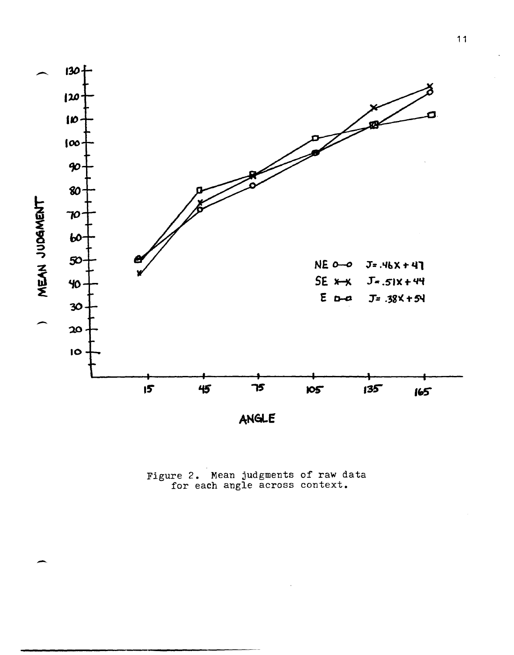

ANGLE

Figure 2. Mean judgments of raw data for each angle across context.

-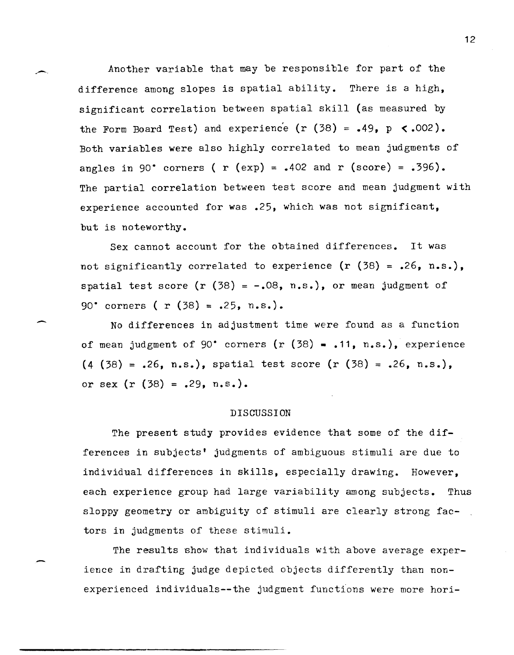Another variable that may be responsible for part of the difference among slopes is spatial ability. There is a high, significant correlation between spatial skill (as measured by the Form Board Test) and experience  $(r (38) = .49, p < .002)$ . Both variables were also highly correlated to mean judgments of angles in 90° corners (  $r$  (exp) = .402 and  $r$  (score) = .396). The partial correlation between test score and mean judgment with experience accounted for was .25, which was not significant, but is noteworthy.

.,-.

-

Sex cannot account for the obtained differences. It was not significantly correlated to experience  $(r (38) = .26, n.s.)$ , spatial test score  $(r (38) = -.08, n.s.)$ , or mean judgment of 90° corners (  $r$  (38) = .25, n.s.).

No differences in adjustment time were found as a function of mean judgment of 90° corners  $(r (38) - .11, n.s.)$ , experience  $(4 (38) = .26, n.s.),$  spatial test score  $(r (38) = .26, n.s.),$ or sex  $(r (38) = .29, n.s.).$ 

## DISCUSSION

The present study provides evidence that some of the differences in subjects' judgments of ambiguous stimuli are due to individual differences in skills, especially drawing. However, each experience group had large variability among subjects. Thus sloppy geometry or ambiguity of stimuli are clearly strong factors in judgments of these stimuli.

The results show that individuals with above average experience in drafting judge depicted objects differently than nonexperienced individuals--the judgment functions were more hori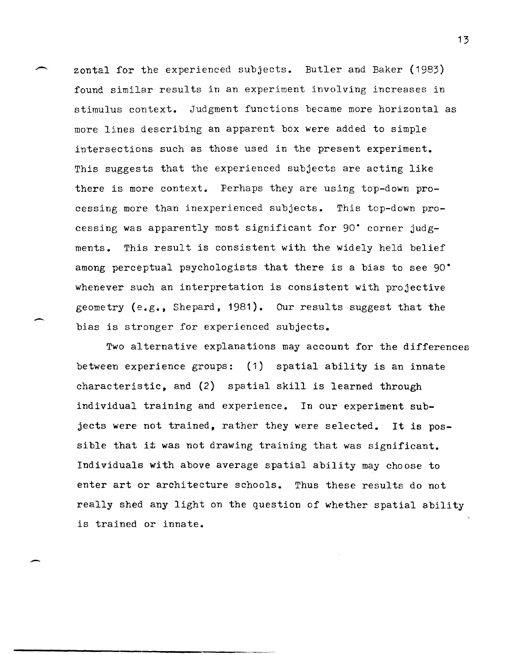zontal for the experienced subjects. Butler and Baker (1983) found similar results in an experiment involving increases in stimulus context. Judgment functions became more horizontal as more lines describing an apparent box were added to simple intersections such as those used in the present experiment. This suggests that the experienced subjects are acting like there is more context. Perhaps they are using top-down processing more than inexperienced subjects. This top-down processing was apparently most significant for 90· corner judgments. This result is consistent with the widely held belief among perceptual psychologists that there is a bias to see 90· whenever such an interpretation is consistent with projective geometry (e.g., Shepard, 1981). Our results suggest that the bias is stronger for experienced subjects.

Two alternative explanations may account for the differences between experience groups: (1) spatial ability is an innate characteristic, and (2) spatial skill is learned through individual training and experience. In our experiment sub jects were not trained, rather they were selected. It is possible that it was not drawing training that was significant. Individuals with above average spatial ability may choose to enter art or architecture schools. Thus these results do not really shed any light on the question of whether spatial ability is trained or innate.

,---------\_. \_\_ .\_-----

-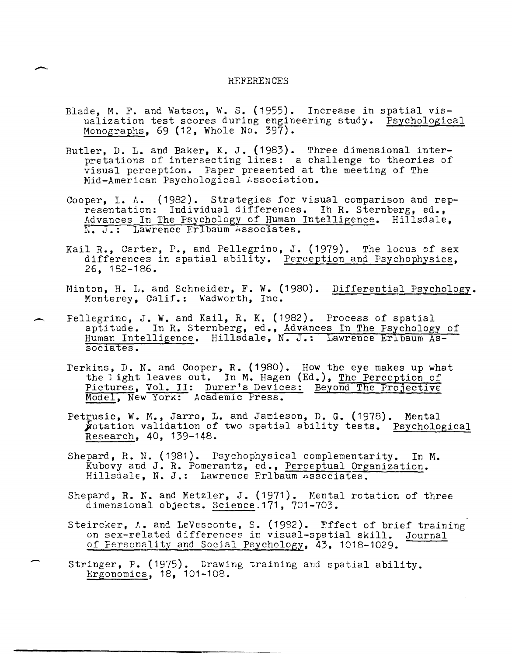### REFERENCES

 $\overline{\phantom{0}}$ 

-

-

- Blade, M. F. and Watson, w. S. (1955). Increase in spatial visualization test scores during engineering study. Psychological Monographs, 69 (12, Whole No. 397).
- Butler, D. L. and Baker, K. J.  $(1983)$ . Three dimensional interpretations of intersecting lines: a challenge to theories of visual perception. Paper presented at the meeting of The Mid-American Psychological Association.
- Cooper, L. A. (1982). Strategies for visual comparison and representation: Individual differences. In R. Sternberg, ed., Advances In The Psychology of Human Intelligence. Hillsdale, N. J.: Lawrence Erlbaum Associates.
- Kail R., Carter, P., and Pellegrino, J. (1979). The locus of sex differences in spatial ability. Perception and Psychophysics, 26, 182-186.
- Minton, H. L. and Schneider, F. W. (1980). Differential Psychology. Monterey, Calif.: Wadworth, Inc.
- Pellegrino, J. W. and Kail, R. K. (1982). Process of spatial aptitude. In R. Sternberg, ed., Advances In The Psychology of Human Intelligence. Hillsdale, N. J.: Lawrence Erlbaum Associates.
	- Perkins, D. N. and Cooper, R. (1980). How the eye makes up what the 1 ight leaves out. In M. Hagen (Ed.), The Perception of Pictures, Vol. II: Durer's Devices: Beyond The Projective Model, New York: Academic Press.
	- Petrusic, W. M., Jarro, L. and Jamieson, D. G.  $(1978)$ . Mental wotation validation of two spatial ability tests. Psychological Research, 40, 139-148.
	- Shepard, R. N. (1981). Psychophysical complementarity. In M. Kubovy and J. R. Pomerantz, ed., Perceptual Organization. Hillsdale, N. J.: Lawrence Frlbaum Associates.
	- Shepard, R. N. and Metzler, J. (1971). Mental rotation of three dimensional objects. Science.171, 701-703.
	- Steircker, A. and LeVesconte, S. (1932). Effect of brief training on sex-related differences in visual-spatial skill. Journal of Fersonality and Social Psychology, 43, 1018-1029.
	- Stringer, P. (1975). Drawing training and spatial ability. Ergonomics, 18, 101-108.

------------------